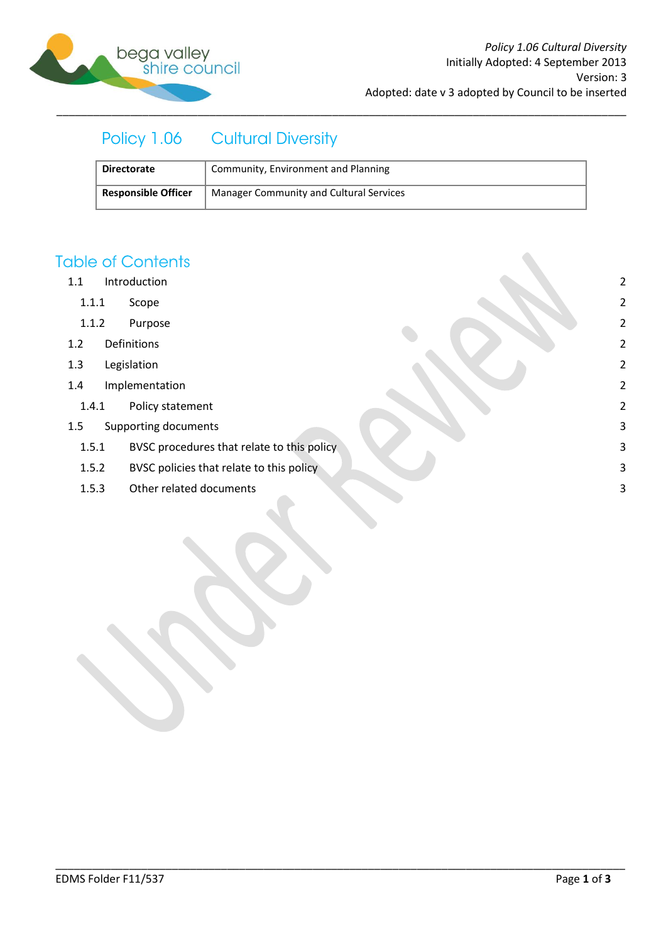

# Policy 1.06 Cultural Diversity

| <b>Directorate</b>         | Community, Environment and Planning     |
|----------------------------|-----------------------------------------|
| <b>Responsible Officer</b> | Manager Community and Cultural Services |

\_\_\_\_\_\_\_\_\_\_\_\_\_\_\_\_\_\_\_\_\_\_\_\_\_\_\_\_\_\_\_\_\_\_\_\_\_\_\_\_\_\_\_\_\_\_\_\_\_\_\_\_\_\_\_\_\_\_\_\_\_\_\_\_\_\_\_\_\_\_\_\_\_\_\_\_\_\_\_\_\_\_\_\_\_\_\_\_\_\_\_\_\_

## **Table of Contents**

- 1.1 [Introduction](#page-1-0) 2
	- 1.1.1 [Scope](#page-1-1) 2
	- 1.1.2 [Purpose](#page-1-2) 2
- 1.2 [Definitions](#page-1-3) 2
- 1.3 [Legislation](#page-1-4) 2
- 1.4 [Implementation](#page-1-5) 2
	- 1.4.1 [Policy statement](#page-1-6) 2
- 1.5 [Supporting documents](#page-2-0) 3
	- 1.5.1 [BVSC procedures that relate to this policy](#page-2-1) 3
	- 1.5.2 [BVSC policies that relate to this policy](#page-2-2) and the set of the set of the set of the set of the set of the set of the set of the set of the set of the set of the set of the set of the set of the set of the set of the se
	- 1.5.3 [Other related documents](#page-2-3) 3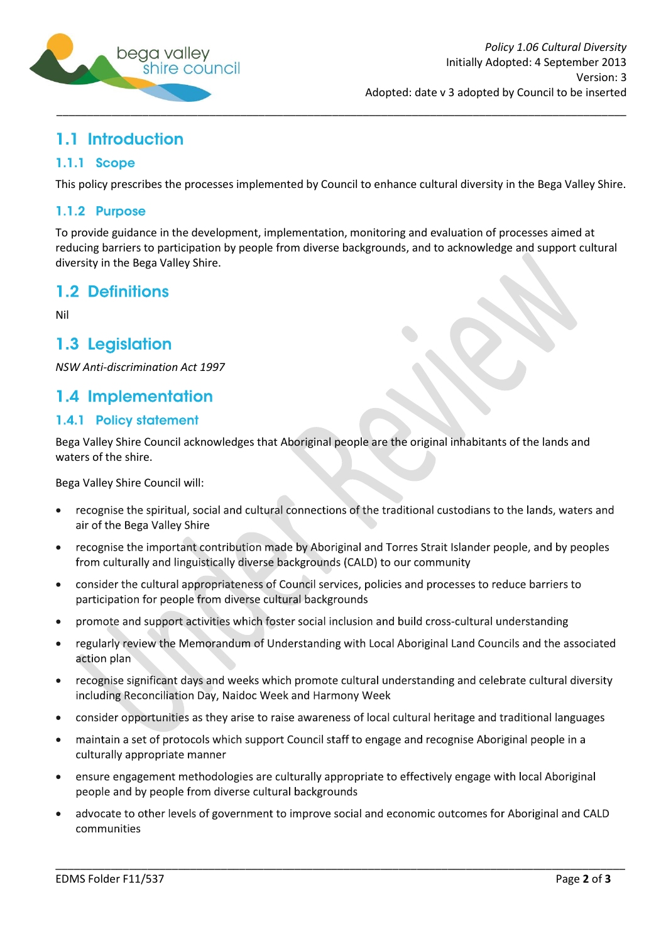

# <span id="page-1-0"></span>1.1 Introduction

### <span id="page-1-1"></span>1.1.1 Scope

This policy prescribes the processes implemented by Council to enhance cultural diversity in the Bega Valley Shire.

#### <span id="page-1-2"></span>1.1.2 Purpose

To provide guidance in the development, implementation, monitoring and evaluation of processes aimed at reducing barriers to participation by people from diverse backgrounds, and to acknowledge and support cultural diversity in the Bega Valley Shire.

### <span id="page-1-3"></span>1.2 Definitions

Nil

### <span id="page-1-4"></span>1.3 Legislation

*NSW Anti-discrimination Act 1997*

### <span id="page-1-5"></span>1.4 Implementation

### <span id="page-1-6"></span>1.4.1 Policy statement

Bega Valley Shire Council acknowledges that Aboriginal people are the original inhabitants of the lands and waters of the shire.

Bega Valley Shire Council will:

- recognise the spiritual, social and cultural connections of the traditional custodians to the lands, waters and air of the Bega Valley Shire
- recognise the important contribution made by Aboriginal and Torres Strait Islander people, and by peoples  $\bullet$ from culturally and linguistically diverse backgrounds (CALD) to our community
- consider the cultural appropriateness of Council services, policies and processes to reduce barriers to participation for people from diverse cultural backgrounds
- promote and support activities which foster social inclusion and build cross-cultural understanding
- regularly review the Memorandum of Understanding with Local Aboriginal Land Councils and the associated action plan
- recognise significant days and weeks which promote cultural understanding and celebrate cultural diversity  $\bullet$ including Reconciliation Day, Naidoc Week and Harmony Week
- consider opportunities as they arise to raise awareness of local cultural heritage and traditional languages
- maintain a set of protocols which support Council staff to engage and recognise Aboriginal people in a culturally appropriate manner
- ensure engagement methodologies are culturally appropriate to effectively engage with local Aboriginal people and by people from diverse cultural backgrounds
- advocate to other levels of government to improve social and economic outcomes for Aboriginal and CALD communities

\_\_\_\_\_\_\_\_\_\_\_\_\_\_\_\_\_\_\_\_\_\_\_\_\_\_\_\_\_\_\_\_\_\_\_\_\_\_\_\_\_\_\_\_\_\_\_\_\_\_\_\_\_\_\_\_\_\_\_\_\_\_\_\_\_\_\_\_\_\_\_\_\_\_\_\_\_\_\_\_\_\_\_\_\_\_\_\_\_\_\_\_\_